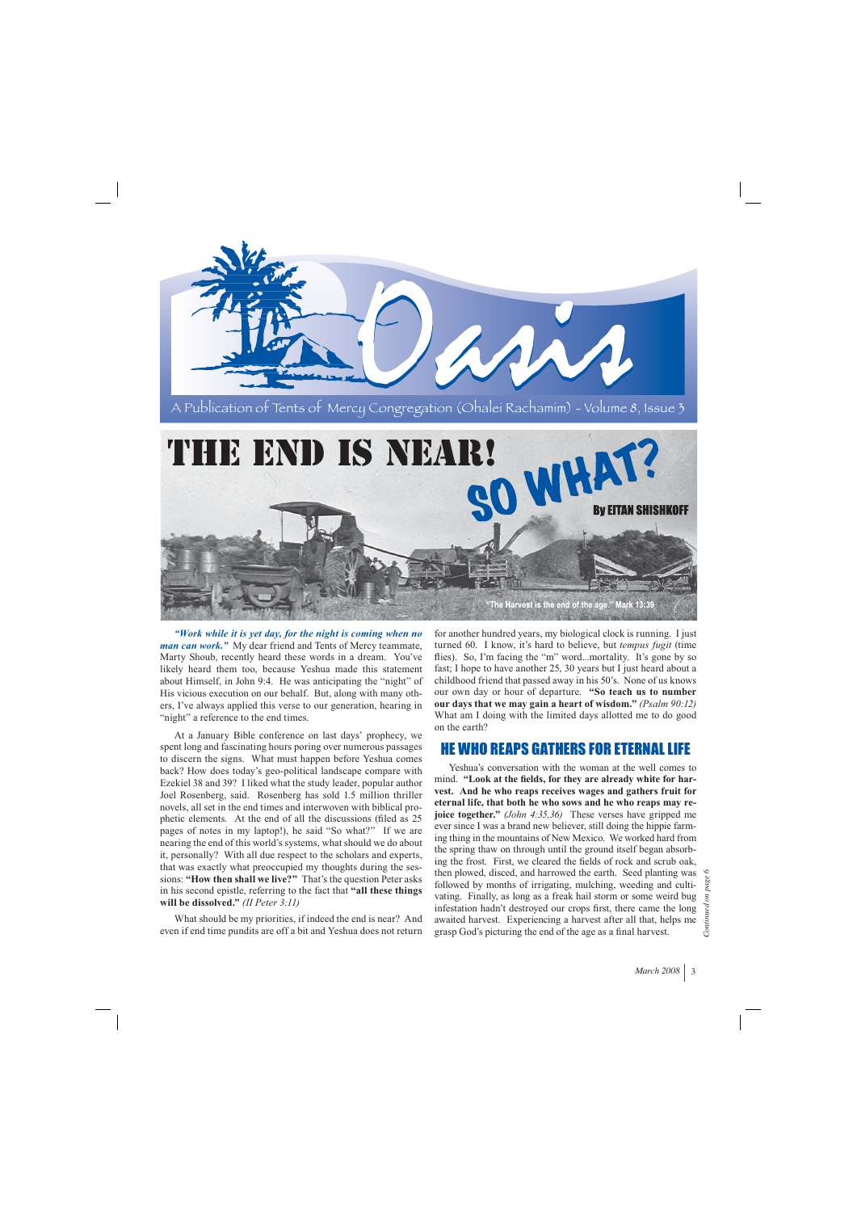

*"Work while it is yet day, for the night is coming when no man can work."* My dear friend and Tents of Mercy teammate, Marty Shoub, recently heard these words in a dream. You've likely heard them too, because Yeshua made this statement about Himself, in John 9:4. He was anticipating the "night" of His vicious execution on our behalf. But, along with many others, I've always applied this verse to our generation, hearing in "night" a reference to the end times.

At a January Bible conference on last days' prophecy, we spent long and fascinating hours poring over numerous passages to discern the signs. What must happen before Yeshua comes back? How does today's geo-political landscape compare with Ezekiel 38 and 39? I liked what the study leader, popular author Joel Rosenberg, said. Rosenberg has sold 1.5 million thriller novels, all set in the end times and interwoven with biblical prophetic elements. At the end of all the discussions (filed as 25 pages of notes in my laptop!), he said "So what?" If we are nearing the end of this world's systems, what should we do about it, personally? With all due respect to the scholars and experts, that was exactly what preoccupied my thoughts during the sessions: **"How then shall we live?"** That's the question Peter asks in his second epistle, referring to the fact that **"all these things will be dissolved."** *(II Peter 3:11)*

What should be my priorities, if indeed the end is near? And even if end time pundits are off a bit and Yeshua does not return for another hundred years, my biological clock is running. I just turned 60. I know, it's hard to believe, but *tempus fugit* (time flies). So, I'm facing the "m" word...mortality. It's gone by so fast; I hope to have another 25, 30 years but I just heard about a childhood friend that passed away in his 50's. None of us knows our own day or hour of departure. **"So teach us to number our days that we may gain a heart of wisdom."** *(Psalm 90:12)*  What am I doing with the limited days allotted me to do good on the earth?

## HE WHO REAPS GATHERS FOR ETERNAL LIFE

Yeshua's conversation with the woman at the well comes to mind. **"Look at the fields, for they are already white for harvest. And he who reaps receives wages and gathers fruit for eternal life, that both he who sows and he who reaps may rejoice together."** *(John 4:35,36)* These verses have gripped me ever since I was a brand new believer, still doing the hippie farming thing in the mountains of New Mexico. We worked hard from the spring thaw on through until the ground itself began absorbing the frost. First, we cleared the fields of rock and scrub oak, then plowed, disced, and harrowed the earth. Seed planting was followed by months of irrigating, mulching, weeding and cultivating. Finally, as long as a freak hail storm or some weird bug infestation hadn't destroyed our crops first, there came the long awaited harvest. Experiencing a harvest after all that, helps me grasp God's picturing the end of the age as a final harvest.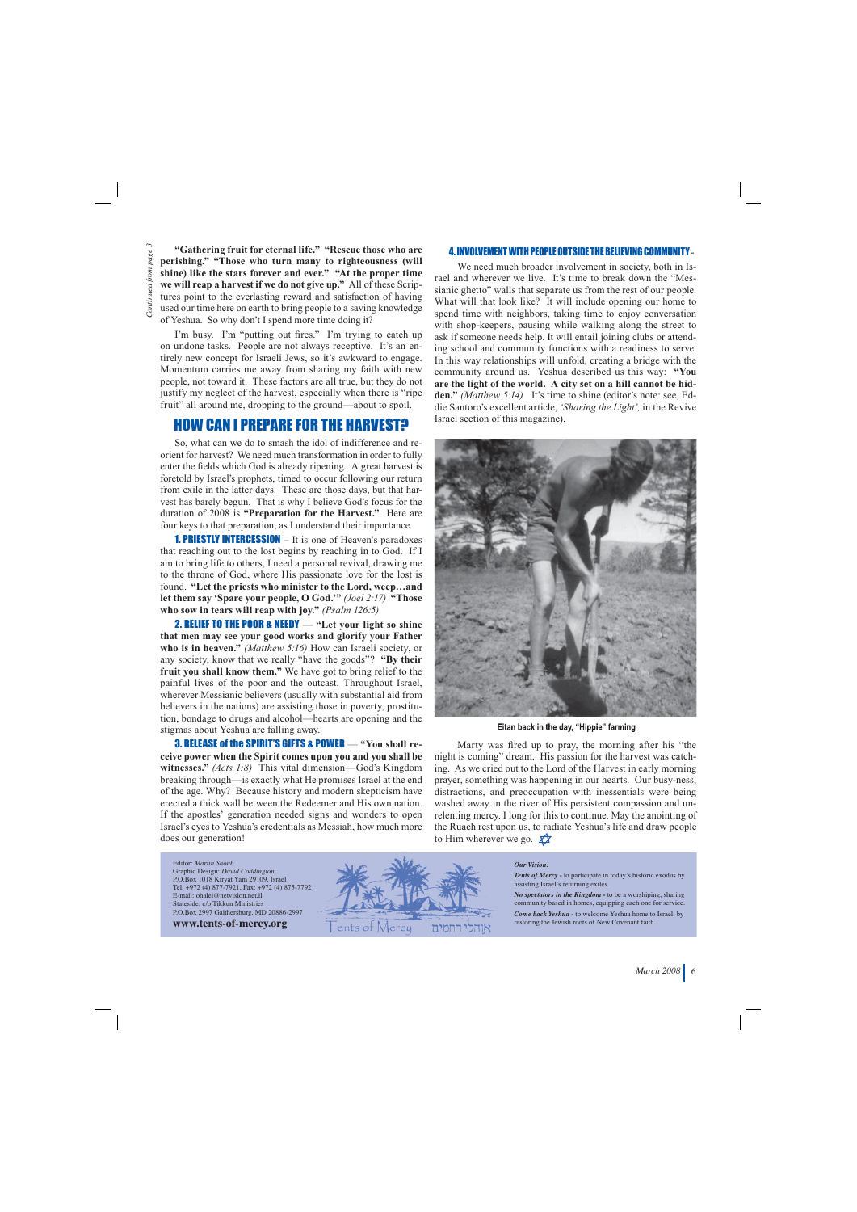**"Gathering fruit for eternal life." "Rescue those who are perishing." "Those who turn many to righteousness (will shine) like the stars forever and ever." "At the proper time we will reap a harvest if we do not give up."** All of these Scriptures point to the everlasting reward and satisfaction of having used our time here on earth to bring people to a saving knowledge of Yeshua. So why don't I spend more time doing it?

I'm busy. I'm "putting out fires." I'm trying to catch up on undone tasks. People are not always receptive. It's an entirely new concept for Israeli Jews, so it's awkward to engage. Momentum carries me away from sharing my faith with new people, not toward it. These factors are all true, but they do not justify my neglect of the harvest, especially when there is "ripe fruit" all around me, dropping to the ground—about to spoil.

## HOW CAN I PREPARE FOR THE HARVEST?

So, what can we do to smash the idol of indifference and reorient for harvest? We need much transformation in order to fully enter the fields which God is already ripening. A great harvest is foretold by Israel's prophets, timed to occur following our return from exile in the latter days. These are those days, but that harvest has barely begun. That is why I believe God's focus for the duration of 2008 is **"Preparation for the Harvest."** Here are four keys to that preparation, as I understand their importance.

1. PRIESTLY INTERCESSION – It is one of Heaven's paradoxes that reaching out to the lost begins by reaching in to God. If I am to bring life to others, I need a personal revival, drawing me to the throne of God, where His passionate love for the lost is found. **"Let the priests who minister to the Lord, weep…and let them say 'Spare your people, O God.'"** *(Joel 2:17)* **"Those who sow in tears will reap with joy."** *(Psalm 126:5)*

2. RELIEF TO THE POOR & NEEDY — **"Let your light so shine that men may see your good works and glorify your Father who is in heaven."** *(Matthew 5:16)* How can Israeli society, or any society, know that we really "have the goods"? **"By their fruit you shall know them."** We have got to bring relief to the painful lives of the poor and the outcast. Throughout Israel, wherever Messianic believers (usually with substantial aid from believers in the nations) are assisting those in poverty, prostitution, bondage to drugs and alcohol—hearts are opening and the stigmas about Yeshua are falling away.

3. RELEASE of the SPIRIT'S GIFTS & POWER — **"You shall receive power when the Spirit comes upon you and you shall be witnesses."** *(Acts 1:8)* This vital dimension—God's Kingdom breaking through—is exactly what He promises Israel at the end of the age. Why? Because history and modern skepticism have erected a thick wall between the Redeemer and His own nation. If the apostles' generation needed signs and wonders to open Israel's eyes to Yeshua's credentials as Messiah, how much more does our generation!

#### 4. INVOLVEMENT WITH PEOPLE OUTSIDE THE BELIEVING COMMUNITY -

We need much broader involvement in society, both in Israel and wherever we live. It's time to break down the "Messianic ghetto" walls that separate us from the rest of our people. What will that look like? It will include opening our home to spend time with neighbors, taking time to enjoy conversation with shop-keepers, pausing while walking along the street to ask if someone needs help. It will entail joining clubs or attending school and community functions with a readiness to serve. In this way relationships will unfold, creating a bridge with the community around us. Yeshua described us this way: **"You are the light of the world. A city set on a hill cannot be hidden."** *(Matthew 5:14)* It's time to shine (editor's note: see, Eddie Santoro's excellent article, *'Sharing the Light',* in the Revive Israel section of this magazine).



Eitan back in the day, "Hippie" farming

Marty was fired up to pray, the morning after his "the night is coming" dream. His passion for the harvest was catching. As we cried out to the Lord of the Harvest in early morning prayer, something was happening in our hearts. Our busy-ness, distractions, and preoccupation with inessentials were being washed away in the river of His persistent compassion and unrelenting mercy. I long for this to continue. May the anointing of the Ruach rest upon us, to radiate Yeshua's life and draw people to Him wherever we go.  $\chi \chi$ 

Editor: *Martin Shoub* Graphic Design: *David Coddington* P.O.Box 1018 Kiryat Yam 29109, Israel Tel: +972 (4) 877-7921, Fax: +972 (4) 875-7792 E-mail: ohalei@netvision.net.il Stateside: c/o Tikkun Ministries P.O.Box 2997 Gaithersburg, MD 20886-2997 **www.tents-of-mercy.org**



#### *Our Vision:*

*Tents of Mercy -* to participate in today's historic exodus by assisting Israel's returning exiles.

*No spectators in the Kingdom -* to be a worshiping, sharing community based in homes, equipping each one for service.

*Come back Yeshua -* to welcome Yeshua home to Israel, by restoring the Jewish roots of New Covenant faith.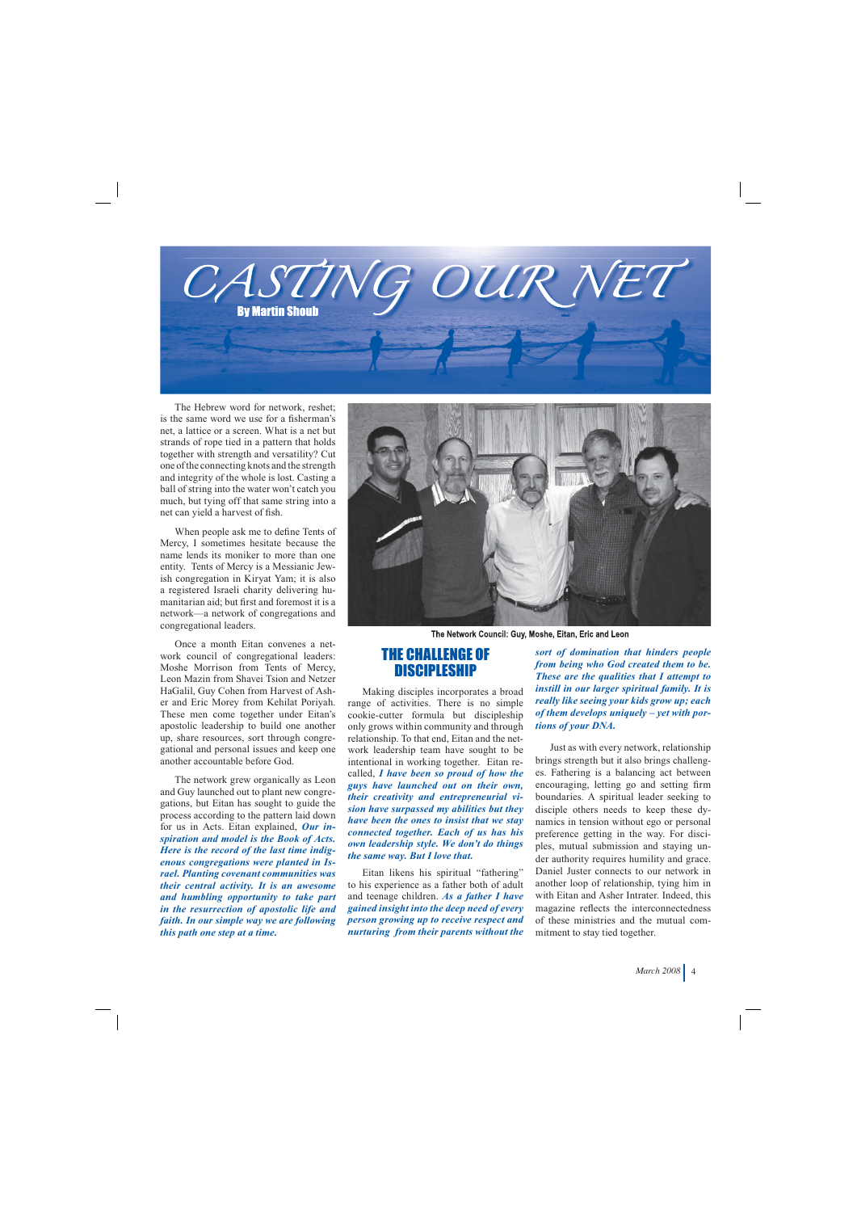

The Hebrew word for network, reshet; is the same word we use for a fisherman's net, a lattice or a screen. What is a net but strands of rope tied in a pattern that holds together with strength and versatility? Cut one of the connecting knots and the strength and integrity of the whole is lost. Casting a ball of string into the water won't catch you much, but tying off that same string into a net can yield a harvest of fish.

When people ask me to define Tents of Mercy, I sometimes hesitate because the name lends its moniker to more than one entity. Tents of Mercy is a Messianic Jewish congregation in Kiryat Yam; it is also a registered Israeli charity delivering humanitarian aid; but first and foremost it is a network—a network of congregations and congregational leaders.

Once a month Eitan convenes a network council of congregational leaders: Moshe Morrison from Tents of Mercy, Leon Mazin from Shavei Tsion and Netzer HaGalil, Guy Cohen from Harvest of Asher and Eric Morey from Kehilat Poriyah. These men come together under Eitan's apostolic leadership to build one another up, share resources, sort through congregational and personal issues and keep one another accountable before God.

The network grew organically as Leon and Guy launched out to plant new congregations, but Eitan has sought to guide the process according to the pattern laid down for us in Acts. Eitan explained, *Our inspiration and model is the Book of Acts. Here is the record of the last time indigenous congregations were planted in Israel. Planting covenant communities was their central activity. It is an awesome and humbling opportunity to take part in the resurrection of apostolic life and faith. In our simple way we are following this path one step at a time.* 



The Network Council: Guy, Moshe, Eitan, Eric and Leon

## THE CHALLENGE OF **DISCIPLESHIP**

Making disciples incorporates a broad range of activities. There is no simple cookie-cutter formula but discipleship only grows within community and through relationship. To that end, Eitan and the network leadership team have sought to be intentional in working together. Eitan recalled, *I have been so proud of how the guys have launched out on their own, their creativity and entrepreneurial vision have surpassed my abilities but they have been the ones to insist that we stay connected together. Each of us has his own leadership style. We don't do things the same way. But I love that.*

Eitan likens his spiritual "fathering" to his experience as a father both of adult and teenage children. *As a father I have gained insight into the deep need of every person growing up to receive respect and nurturing from their parents without the* 

*sort of domination that hinders people from being who God created them to be. These are the qualities that I attempt to instill in our larger spiritual family. It is really like seeing your kids grow up; each of them develops uniquely – yet with portions of your DNA.*

Just as with every network, relationship brings strength but it also brings challenges. Fathering is a balancing act between encouraging, letting go and setting firm boundaries. A spiritual leader seeking to disciple others needs to keep these dynamics in tension without ego or personal preference getting in the way. For disciples, mutual submission and staying under authority requires humility and grace. Daniel Juster connects to our network in another loop of relationship, tying him in with Eitan and Asher Intrater. Indeed, this magazine reflects the interconnectedness of these ministries and the mutual commitment to stay tied together.